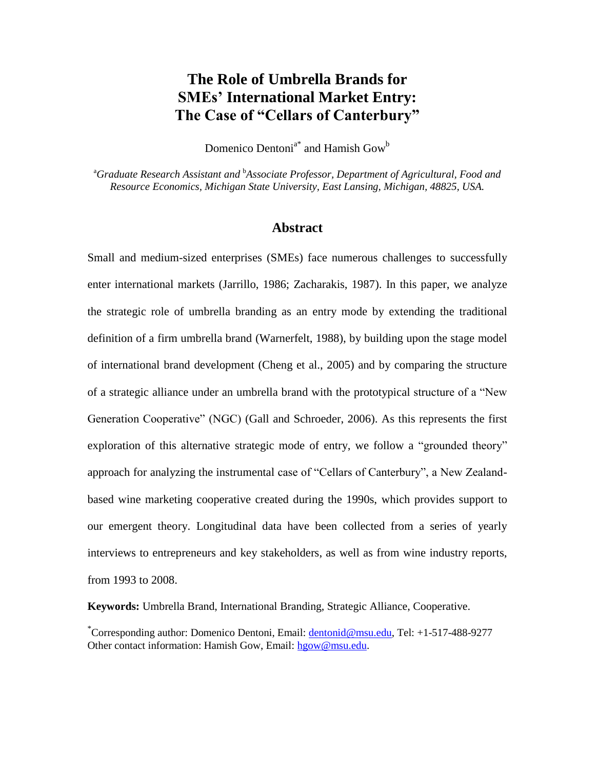# **The Role of Umbrella Brands for SMEs' International Market Entry: The Case of "Cellars of Canterbury"**

Domenico Dentoni<sup>a\*</sup> and Hamish Gow<sup>b</sup>

<sup>a</sup>*Graduate Research Assistant and* <sup>b</sup>*Associate Professor, Department of Agricultural, Food and Resource Economics, Michigan State University, East Lansing, Michigan, 48825, USA.* 

## **Abstract**

Small and medium-sized enterprises (SMEs) face numerous challenges to successfully enter international markets (Jarrillo, 1986; Zacharakis, 1987). In this paper, we analyze the strategic role of umbrella branding as an entry mode by extending the traditional definition of a firm umbrella brand (Warnerfelt, 1988), by building upon the stage model of international brand development (Cheng et al., 2005) and by comparing the structure of a strategic alliance under an umbrella brand with the prototypical structure of a "New Generation Cooperative" (NGC) (Gall and Schroeder, 2006). As this represents the first exploration of this alternative strategic mode of entry, we follow a "grounded theory" approach for analyzing the instrumental case of "Cellars of Canterbury", a New Zealandbased wine marketing cooperative created during the 1990s, which provides support to our emergent theory. Longitudinal data have been collected from a series of yearly interviews to entrepreneurs and key stakeholders, as well as from wine industry reports, from 1993 to 2008.

**Keywords:** Umbrella Brand, International Branding, Strategic Alliance, Cooperative.

\*Corresponding author: Domenico Dentoni, Email: [dentonid@msu.edu,](mailto:dentonid@msu.edu) Tel: +1-517-488-9277 Other contact information: Hamish Gow, Email: [hgow@msu.edu.](mailto:hgow@msu.edu)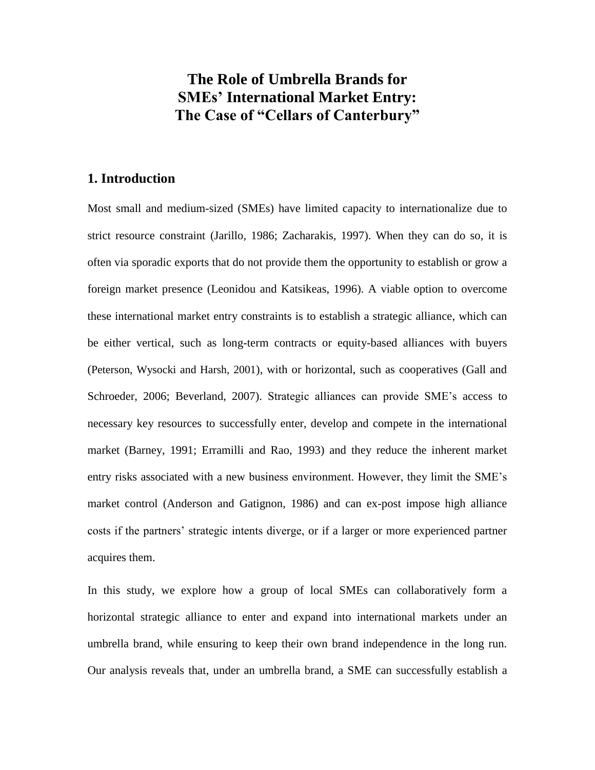# **The Role of Umbrella Brands for SMEs' International Market Entry: The Case of "Cellars of Canterbury"**

# **1. Introduction**

Most small and medium-sized (SMEs) have limited capacity to internationalize due to strict resource constraint (Jarillo, 1986; Zacharakis, 1997). When they can do so, it is often via sporadic exports that do not provide them the opportunity to establish or grow a foreign market presence (Leonidou and Katsikeas, 1996). A viable option to overcome these international market entry constraints is to establish a strategic alliance, which can be either vertical, such as long-term contracts or equity-based alliances with buyers (Peterson, Wysocki and Harsh, 2001), with or horizontal, such as cooperatives (Gall and Schroeder, 2006; Beverland, 2007). Strategic alliances can provide SME"s access to necessary key resources to successfully enter, develop and compete in the international market (Barney, 1991; Erramilli and Rao, 1993) and they reduce the inherent market entry risks associated with a new business environment. However, they limit the SME"s market control (Anderson and Gatignon, 1986) and can ex-post impose high alliance costs if the partners" strategic intents diverge, or if a larger or more experienced partner acquires them.

In this study, we explore how a group of local SMEs can collaboratively form a horizontal strategic alliance to enter and expand into international markets under an umbrella brand, while ensuring to keep their own brand independence in the long run. Our analysis reveals that, under an umbrella brand, a SME can successfully establish a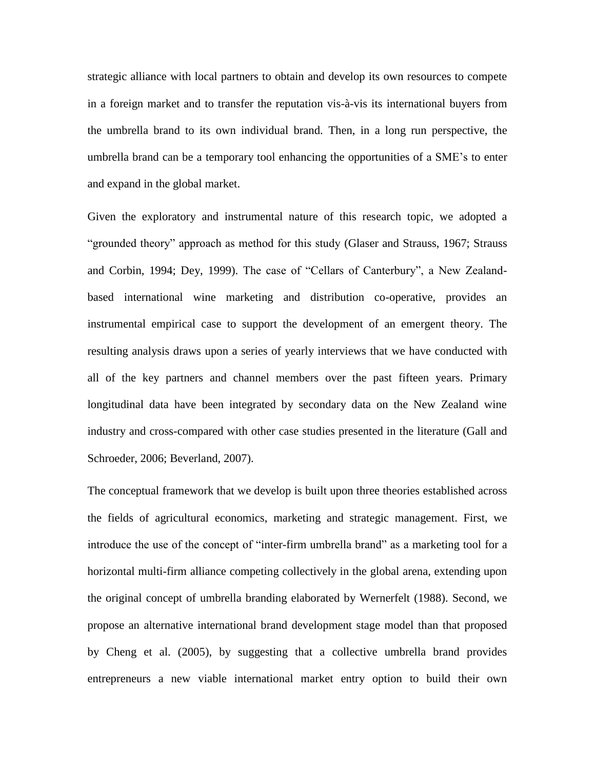strategic alliance with local partners to obtain and develop its own resources to compete in a foreign market and to transfer the reputation vis-à-vis its international buyers from the umbrella brand to its own individual brand. Then, in a long run perspective, the umbrella brand can be a temporary tool enhancing the opportunities of a SME"s to enter and expand in the global market.

Given the exploratory and instrumental nature of this research topic, we adopted a "grounded theory" approach as method for this study (Glaser and Strauss, 1967; Strauss and Corbin, 1994; Dey, 1999). The case of "Cellars of Canterbury", a New Zealandbased international wine marketing and distribution co-operative, provides an instrumental empirical case to support the development of an emergent theory. The resulting analysis draws upon a series of yearly interviews that we have conducted with all of the key partners and channel members over the past fifteen years. Primary longitudinal data have been integrated by secondary data on the New Zealand wine industry and cross-compared with other case studies presented in the literature (Gall and Schroeder, 2006; Beverland, 2007).

The conceptual framework that we develop is built upon three theories established across the fields of agricultural economics, marketing and strategic management. First, we introduce the use of the concept of "inter-firm umbrella brand" as a marketing tool for a horizontal multi-firm alliance competing collectively in the global arena, extending upon the original concept of umbrella branding elaborated by Wernerfelt (1988). Second, we propose an alternative international brand development stage model than that proposed by Cheng et al. (2005), by suggesting that a collective umbrella brand provides entrepreneurs a new viable international market entry option to build their own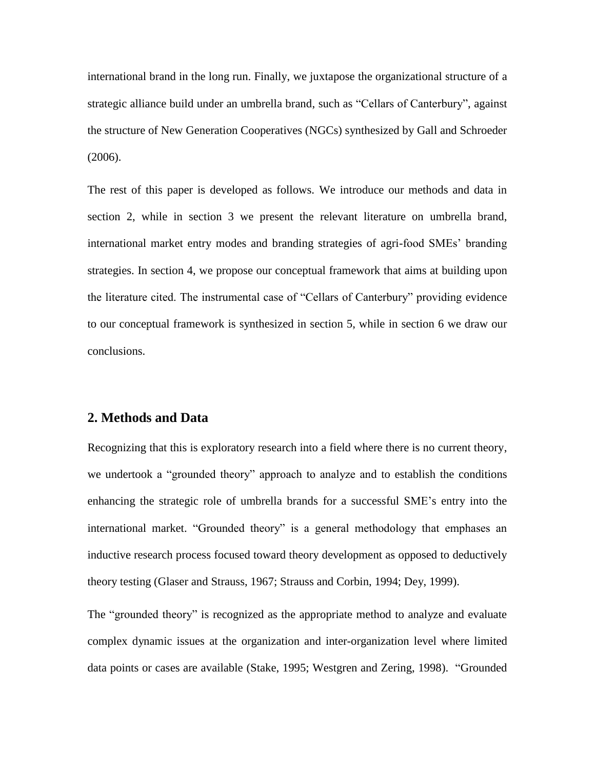international brand in the long run. Finally, we juxtapose the organizational structure of a strategic alliance build under an umbrella brand, such as "Cellars of Canterbury", against the structure of New Generation Cooperatives (NGCs) synthesized by Gall and Schroeder (2006).

The rest of this paper is developed as follows. We introduce our methods and data in section 2, while in section 3 we present the relevant literature on umbrella brand, international market entry modes and branding strategies of agri-food SMEs" branding strategies. In section 4, we propose our conceptual framework that aims at building upon the literature cited. The instrumental case of "Cellars of Canterbury" providing evidence to our conceptual framework is synthesized in section 5, while in section 6 we draw our conclusions.

## **2. Methods and Data**

Recognizing that this is exploratory research into a field where there is no current theory, we undertook a "grounded theory" approach to analyze and to establish the conditions enhancing the strategic role of umbrella brands for a successful SME"s entry into the international market. "Grounded theory" is a general methodology that emphases an inductive research process focused toward theory development as opposed to deductively theory testing (Glaser and Strauss, 1967; Strauss and Corbin, 1994; Dey, 1999).

The "grounded theory" is recognized as the appropriate method to analyze and evaluate complex dynamic issues at the organization and inter-organization level where limited data points or cases are available (Stake, 1995; Westgren and Zering, 1998). "Grounded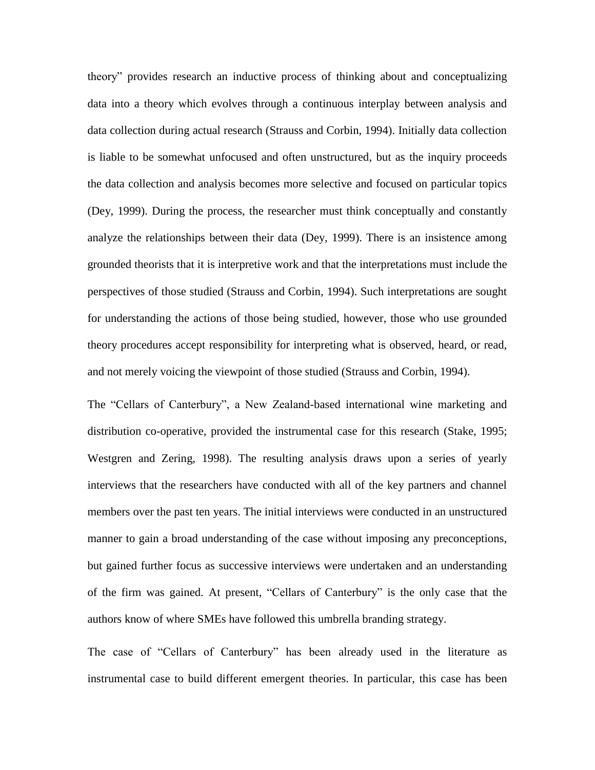theory" provides research an inductive process of thinking about and conceptualizing data into a theory which evolves through a continuous interplay between analysis and data collection during actual research (Strauss and Corbin, 1994). Initially data collection is liable to be somewhat unfocused and often unstructured, but as the inquiry proceeds the data collection and analysis becomes more selective and focused on particular topics (Dey, 1999). During the process, the researcher must think conceptually and constantly analyze the relationships between their data (Dey, 1999). There is an insistence among grounded theorists that it is interpretive work and that the interpretations must include the perspectives of those studied (Strauss and Corbin, 1994). Such interpretations are sought for understanding the actions of those being studied, however, those who use grounded theory procedures accept responsibility for interpreting what is observed, heard, or read, and not merely voicing the viewpoint of those studied (Strauss and Corbin, 1994).

The "Cellars of Canterbury", a New Zealand-based international wine marketing and distribution co-operative, provided the instrumental case for this research (Stake, 1995; Westgren and Zering, 1998). The resulting analysis draws upon a series of yearly interviews that the researchers have conducted with all of the key partners and channel members over the past ten years. The initial interviews were conducted in an unstructured manner to gain a broad understanding of the case without imposing any preconceptions, but gained further focus as successive interviews were undertaken and an understanding of the firm was gained. At present, "Cellars of Canterbury" is the only case that the authors know of where SMEs have followed this umbrella branding strategy.

The case of "Cellars of Canterbury" has been already used in the literature as instrumental case to build different emergent theories. In particular, this case has been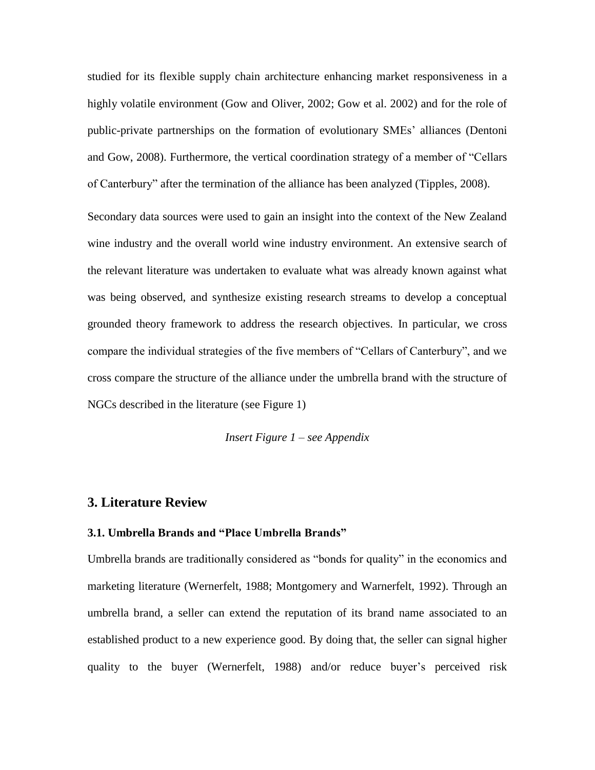studied for its flexible supply chain architecture enhancing market responsiveness in a highly volatile environment (Gow and Oliver, 2002; Gow et al. 2002) and for the role of public-private partnerships on the formation of evolutionary SMEs" alliances (Dentoni and Gow, 2008). Furthermore, the vertical coordination strategy of a member of "Cellars of Canterbury" after the termination of the alliance has been analyzed (Tipples, 2008).

Secondary data sources were used to gain an insight into the context of the New Zealand wine industry and the overall world wine industry environment. An extensive search of the relevant literature was undertaken to evaluate what was already known against what was being observed, and synthesize existing research streams to develop a conceptual grounded theory framework to address the research objectives. In particular, we cross compare the individual strategies of the five members of "Cellars of Canterbury", and we cross compare the structure of the alliance under the umbrella brand with the structure of NGCs described in the literature (see Figure 1)

*Insert Figure 1 – see Appendix*

## **3. Literature Review**

## **3.1. Umbrella Brands and "Place Umbrella Brands"**

Umbrella brands are traditionally considered as "bonds for quality" in the economics and marketing literature (Wernerfelt, 1988; Montgomery and Warnerfelt, 1992). Through an umbrella brand, a seller can extend the reputation of its brand name associated to an established product to a new experience good. By doing that, the seller can signal higher quality to the buyer (Wernerfelt, 1988) and/or reduce buyer's perceived risk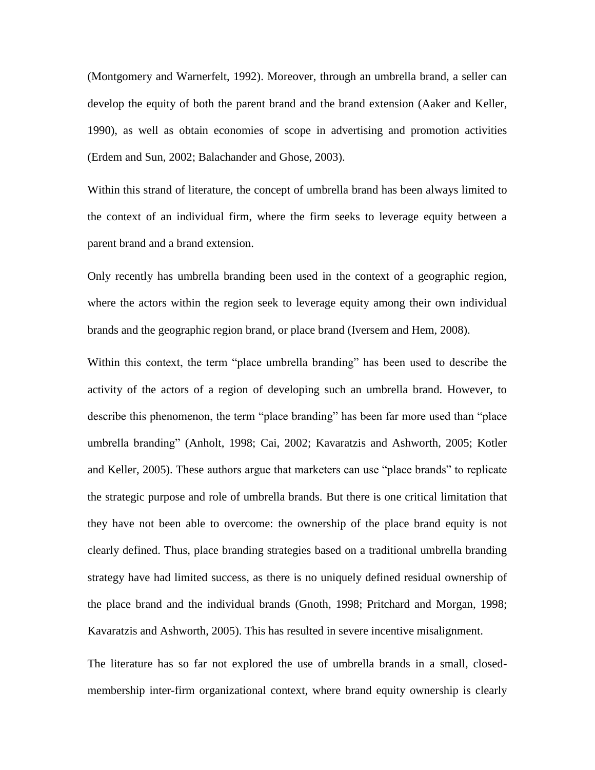(Montgomery and Warnerfelt, 1992). Moreover, through an umbrella brand, a seller can develop the equity of both the parent brand and the brand extension (Aaker and Keller, 1990), as well as obtain economies of scope in advertising and promotion activities (Erdem and Sun, 2002; Balachander and Ghose, 2003).

Within this strand of literature, the concept of umbrella brand has been always limited to the context of an individual firm, where the firm seeks to leverage equity between a parent brand and a brand extension.

Only recently has umbrella branding been used in the context of a geographic region, where the actors within the region seek to leverage equity among their own individual brands and the geographic region brand, or place brand (Iversem and Hem, 2008).

Within this context, the term "place umbrella branding" has been used to describe the activity of the actors of a region of developing such an umbrella brand. However, to describe this phenomenon, the term "place branding" has been far more used than "place umbrella branding" (Anholt, 1998; Cai, 2002; Kavaratzis and Ashworth, 2005; Kotler and Keller, 2005). These authors argue that marketers can use "place brands" to replicate the strategic purpose and role of umbrella brands. But there is one critical limitation that they have not been able to overcome: the ownership of the place brand equity is not clearly defined. Thus, place branding strategies based on a traditional umbrella branding strategy have had limited success, as there is no uniquely defined residual ownership of the place brand and the individual brands (Gnoth, 1998; Pritchard and Morgan, 1998; Kavaratzis and Ashworth, 2005). This has resulted in severe incentive misalignment.

The literature has so far not explored the use of umbrella brands in a small, closedmembership inter-firm organizational context, where brand equity ownership is clearly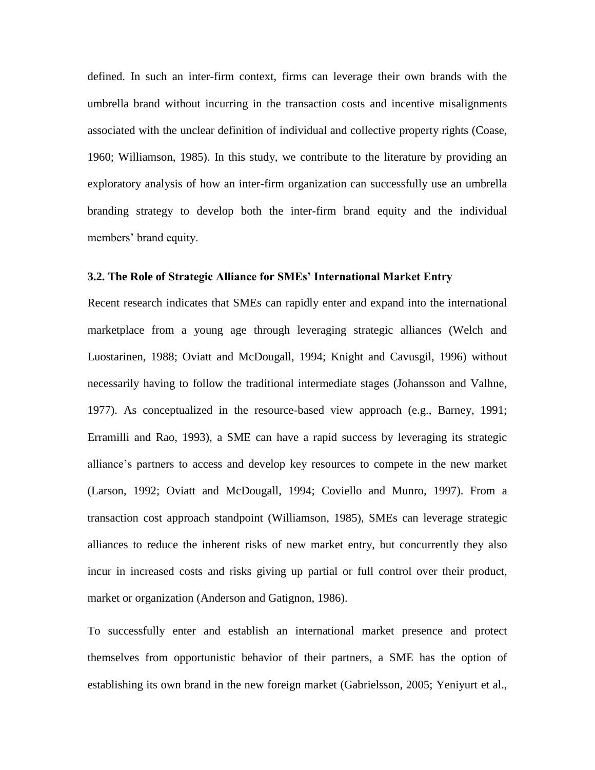defined. In such an inter-firm context, firms can leverage their own brands with the umbrella brand without incurring in the transaction costs and incentive misalignments associated with the unclear definition of individual and collective property rights (Coase, 1960; Williamson, 1985). In this study, we contribute to the literature by providing an exploratory analysis of how an inter-firm organization can successfully use an umbrella branding strategy to develop both the inter-firm brand equity and the individual members' brand equity.

### **3.2. The Role of Strategic Alliance for SMEs' International Market Entry**

Recent research indicates that SMEs can rapidly enter and expand into the international marketplace from a young age through leveraging strategic alliances (Welch and Luostarinen, 1988; Oviatt and McDougall, 1994; Knight and Cavusgil, 1996) without necessarily having to follow the traditional intermediate stages (Johansson and Valhne, 1977). As conceptualized in the resource-based view approach (e.g., Barney, 1991; Erramilli and Rao, 1993), a SME can have a rapid success by leveraging its strategic alliance"s partners to access and develop key resources to compete in the new market (Larson, 1992; Oviatt and McDougall, 1994; Coviello and Munro, 1997). From a transaction cost approach standpoint (Williamson, 1985), SMEs can leverage strategic alliances to reduce the inherent risks of new market entry, but concurrently they also incur in increased costs and risks giving up partial or full control over their product, market or organization (Anderson and Gatignon, 1986).

To successfully enter and establish an international market presence and protect themselves from opportunistic behavior of their partners, a SME has the option of establishing its own brand in the new foreign market (Gabrielsson, 2005; Yeniyurt et al.,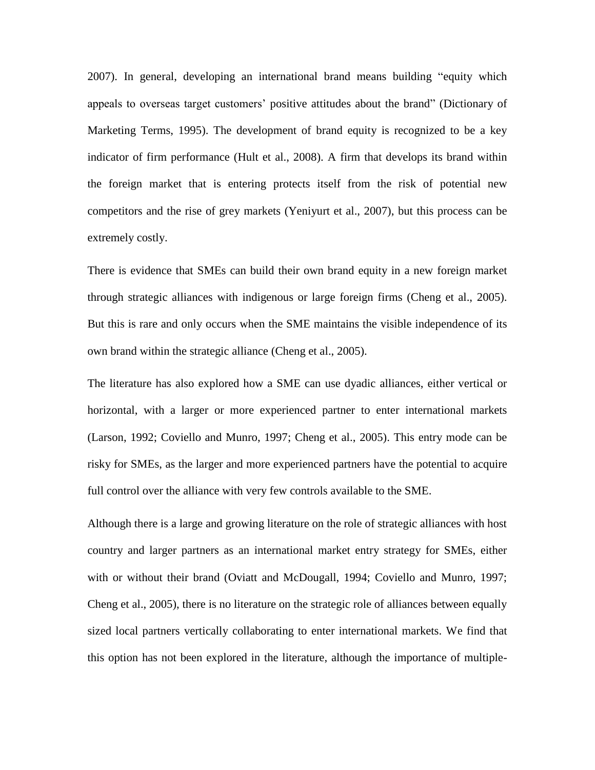2007). In general, developing an international brand means building "equity which appeals to overseas target customers' positive attitudes about the brand" (Dictionary of Marketing Terms, 1995). The development of brand equity is recognized to be a key indicator of firm performance (Hult et al., 2008). A firm that develops its brand within the foreign market that is entering protects itself from the risk of potential new competitors and the rise of grey markets (Yeniyurt et al., 2007), but this process can be extremely costly.

There is evidence that SMEs can build their own brand equity in a new foreign market through strategic alliances with indigenous or large foreign firms (Cheng et al., 2005). But this is rare and only occurs when the SME maintains the visible independence of its own brand within the strategic alliance (Cheng et al., 2005).

The literature has also explored how a SME can use dyadic alliances, either vertical or horizontal, with a larger or more experienced partner to enter international markets (Larson, 1992; Coviello and Munro, 1997; Cheng et al., 2005). This entry mode can be risky for SMEs, as the larger and more experienced partners have the potential to acquire full control over the alliance with very few controls available to the SME.

Although there is a large and growing literature on the role of strategic alliances with host country and larger partners as an international market entry strategy for SMEs, either with or without their brand (Oviatt and McDougall, 1994; Coviello and Munro, 1997; Cheng et al., 2005), there is no literature on the strategic role of alliances between equally sized local partners vertically collaborating to enter international markets. We find that this option has not been explored in the literature, although the importance of multiple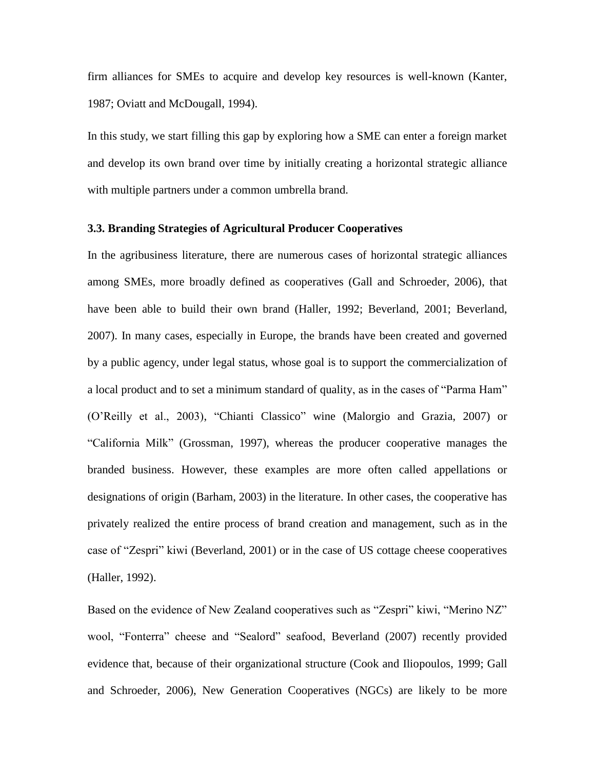firm alliances for SMEs to acquire and develop key resources is well-known (Kanter, 1987; Oviatt and McDougall, 1994).

In this study, we start filling this gap by exploring how a SME can enter a foreign market and develop its own brand over time by initially creating a horizontal strategic alliance with multiple partners under a common umbrella brand.

## **3.3. Branding Strategies of Agricultural Producer Cooperatives**

In the agribusiness literature, there are numerous cases of horizontal strategic alliances among SMEs, more broadly defined as cooperatives (Gall and Schroeder, 2006), that have been able to build their own brand (Haller, 1992; Beverland, 2001; Beverland, 2007). In many cases, especially in Europe, the brands have been created and governed by a public agency, under legal status, whose goal is to support the commercialization of a local product and to set a minimum standard of quality, as in the cases of "Parma Ham" (O"Reilly et al., 2003), "Chianti Classico" wine (Malorgio and Grazia, 2007) or "California Milk" (Grossman, 1997), whereas the producer cooperative manages the branded business. However, these examples are more often called appellations or designations of origin (Barham, 2003) in the literature. In other cases, the cooperative has privately realized the entire process of brand creation and management, such as in the case of "Zespri" kiwi (Beverland, 2001) or in the case of US cottage cheese cooperatives (Haller, 1992).

Based on the evidence of New Zealand cooperatives such as "Zespri" kiwi, "Merino NZ" wool, "Fonterra" cheese and "Sealord" seafood, Beverland (2007) recently provided evidence that, because of their organizational structure (Cook and Iliopoulos, 1999; Gall and Schroeder, 2006), New Generation Cooperatives (NGCs) are likely to be more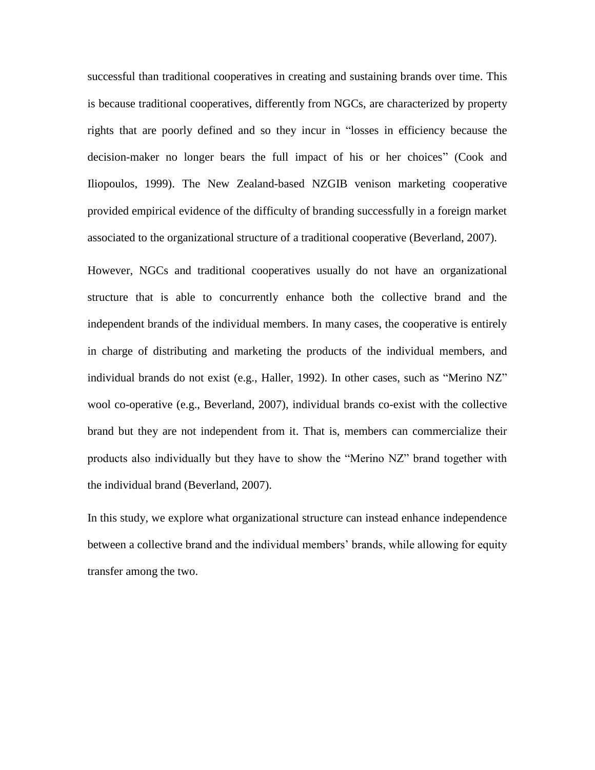successful than traditional cooperatives in creating and sustaining brands over time. This is because traditional cooperatives, differently from NGCs, are characterized by property rights that are poorly defined and so they incur in "losses in efficiency because the decision-maker no longer bears the full impact of his or her choices" (Cook and Iliopoulos, 1999). The New Zealand-based NZGIB venison marketing cooperative provided empirical evidence of the difficulty of branding successfully in a foreign market associated to the organizational structure of a traditional cooperative (Beverland, 2007).

However, NGCs and traditional cooperatives usually do not have an organizational structure that is able to concurrently enhance both the collective brand and the independent brands of the individual members. In many cases, the cooperative is entirely in charge of distributing and marketing the products of the individual members, and individual brands do not exist (e.g., Haller, 1992). In other cases, such as "Merino NZ" wool co-operative (e.g., Beverland, 2007), individual brands co-exist with the collective brand but they are not independent from it. That is, members can commercialize their products also individually but they have to show the "Merino NZ" brand together with the individual brand (Beverland, 2007).

In this study, we explore what organizational structure can instead enhance independence between a collective brand and the individual members' brands, while allowing for equity transfer among the two.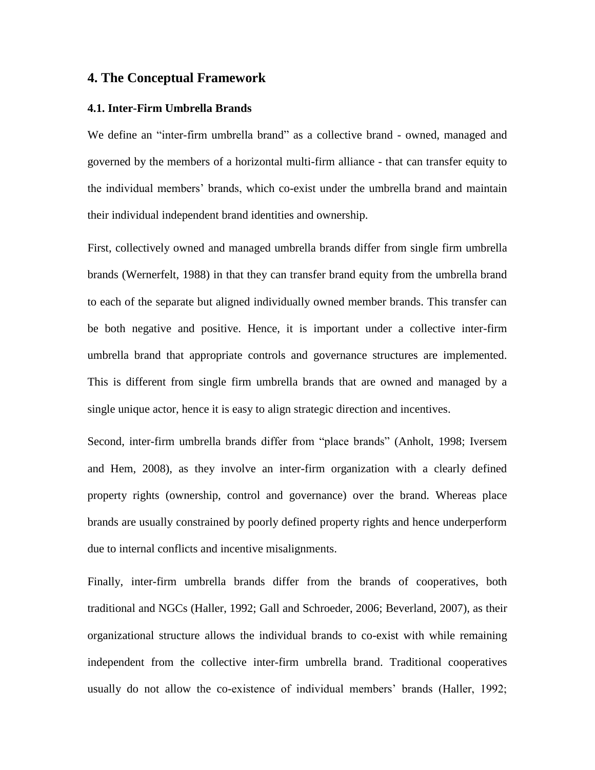## **4. The Conceptual Framework**

#### **4.1. Inter-Firm Umbrella Brands**

We define an "inter-firm umbrella brand" as a collective brand - owned, managed and governed by the members of a horizontal multi-firm alliance - that can transfer equity to the individual members" brands, which co-exist under the umbrella brand and maintain their individual independent brand identities and ownership.

First, collectively owned and managed umbrella brands differ from single firm umbrella brands (Wernerfelt, 1988) in that they can transfer brand equity from the umbrella brand to each of the separate but aligned individually owned member brands. This transfer can be both negative and positive. Hence, it is important under a collective inter-firm umbrella brand that appropriate controls and governance structures are implemented. This is different from single firm umbrella brands that are owned and managed by a single unique actor, hence it is easy to align strategic direction and incentives.

Second, inter-firm umbrella brands differ from "place brands" (Anholt, 1998; Iversem and Hem, 2008), as they involve an inter-firm organization with a clearly defined property rights (ownership, control and governance) over the brand. Whereas place brands are usually constrained by poorly defined property rights and hence underperform due to internal conflicts and incentive misalignments.

Finally, inter-firm umbrella brands differ from the brands of cooperatives, both traditional and NGCs (Haller, 1992; Gall and Schroeder, 2006; Beverland, 2007), as their organizational structure allows the individual brands to co-exist with while remaining independent from the collective inter-firm umbrella brand. Traditional cooperatives usually do not allow the co-existence of individual members' brands (Haller, 1992;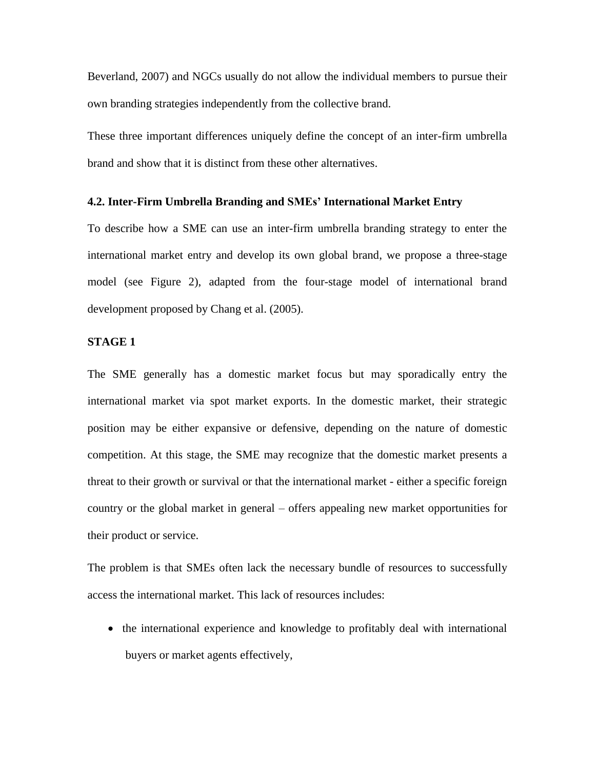Beverland, 2007) and NGCs usually do not allow the individual members to pursue their own branding strategies independently from the collective brand.

These three important differences uniquely define the concept of an inter-firm umbrella brand and show that it is distinct from these other alternatives.

#### **4.2. Inter-Firm Umbrella Branding and SMEs' International Market Entry**

To describe how a SME can use an inter-firm umbrella branding strategy to enter the international market entry and develop its own global brand, we propose a three-stage model (see Figure 2), adapted from the four-stage model of international brand development proposed by Chang et al. (2005).

## **STAGE 1**

The SME generally has a domestic market focus but may sporadically entry the international market via spot market exports. In the domestic market, their strategic position may be either expansive or defensive, depending on the nature of domestic competition. At this stage, the SME may recognize that the domestic market presents a threat to their growth or survival or that the international market - either a specific foreign country or the global market in general – offers appealing new market opportunities for their product or service.

The problem is that SMEs often lack the necessary bundle of resources to successfully access the international market. This lack of resources includes:

• the international experience and knowledge to profitably deal with international buyers or market agents effectively,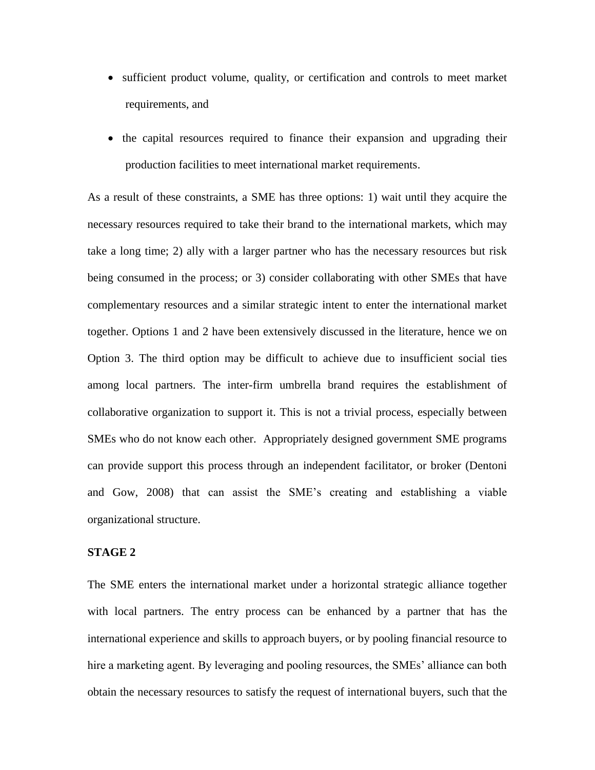- sufficient product volume, quality, or certification and controls to meet market requirements, and
- the capital resources required to finance their expansion and upgrading their production facilities to meet international market requirements.

As a result of these constraints, a SME has three options: 1) wait until they acquire the necessary resources required to take their brand to the international markets, which may take a long time; 2) ally with a larger partner who has the necessary resources but risk being consumed in the process; or 3) consider collaborating with other SMEs that have complementary resources and a similar strategic intent to enter the international market together. Options 1 and 2 have been extensively discussed in the literature, hence we on Option 3. The third option may be difficult to achieve due to insufficient social ties among local partners. The inter-firm umbrella brand requires the establishment of collaborative organization to support it. This is not a trivial process, especially between SMEs who do not know each other. Appropriately designed government SME programs can provide support this process through an independent facilitator, or broker (Dentoni and Gow, 2008) that can assist the SME"s creating and establishing a viable organizational structure.

### **STAGE 2**

The SME enters the international market under a horizontal strategic alliance together with local partners. The entry process can be enhanced by a partner that has the international experience and skills to approach buyers, or by pooling financial resource to hire a marketing agent. By leveraging and pooling resources, the SMEs' alliance can both obtain the necessary resources to satisfy the request of international buyers, such that the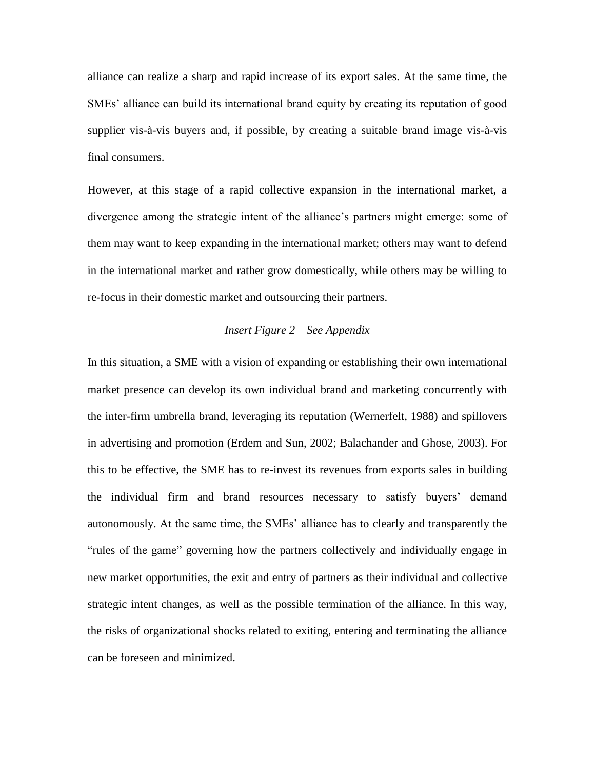alliance can realize a sharp and rapid increase of its export sales. At the same time, the SMEs' alliance can build its international brand equity by creating its reputation of good supplier vis-à-vis buyers and, if possible, by creating a suitable brand image vis-à-vis final consumers.

However, at this stage of a rapid collective expansion in the international market, a divergence among the strategic intent of the alliance"s partners might emerge: some of them may want to keep expanding in the international market; others may want to defend in the international market and rather grow domestically, while others may be willing to re-focus in their domestic market and outsourcing their partners.

## *Insert Figure 2 – See Appendix*

In this situation, a SME with a vision of expanding or establishing their own international market presence can develop its own individual brand and marketing concurrently with the inter-firm umbrella brand, leveraging its reputation (Wernerfelt, 1988) and spillovers in advertising and promotion (Erdem and Sun, 2002; Balachander and Ghose, 2003). For this to be effective, the SME has to re-invest its revenues from exports sales in building the individual firm and brand resources necessary to satisfy buyers' demand autonomously. At the same time, the SMEs" alliance has to clearly and transparently the "rules of the game" governing how the partners collectively and individually engage in new market opportunities, the exit and entry of partners as their individual and collective strategic intent changes, as well as the possible termination of the alliance. In this way, the risks of organizational shocks related to exiting, entering and terminating the alliance can be foreseen and minimized.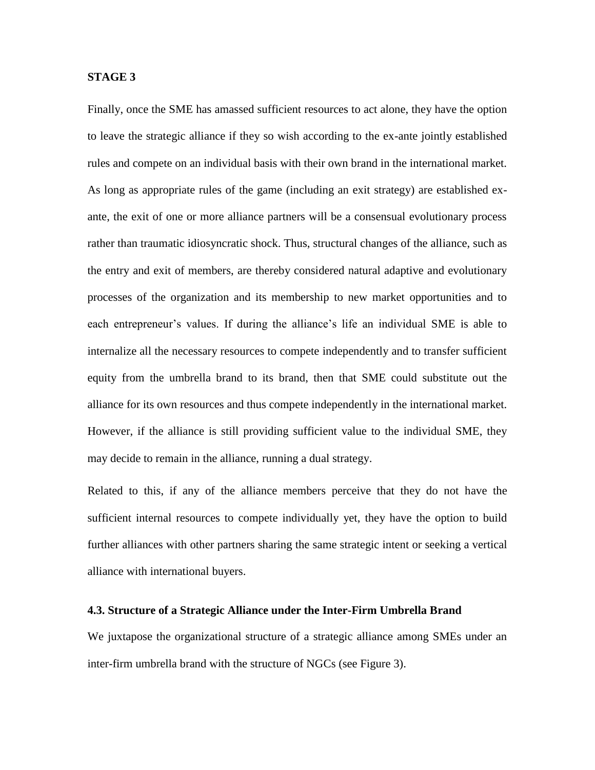## **STAGE 3**

Finally, once the SME has amassed sufficient resources to act alone, they have the option to leave the strategic alliance if they so wish according to the ex-ante jointly established rules and compete on an individual basis with their own brand in the international market. As long as appropriate rules of the game (including an exit strategy) are established exante, the exit of one or more alliance partners will be a consensual evolutionary process rather than traumatic idiosyncratic shock. Thus, structural changes of the alliance, such as the entry and exit of members, are thereby considered natural adaptive and evolutionary processes of the organization and its membership to new market opportunities and to each entrepreneur's values. If during the alliance's life an individual SME is able to internalize all the necessary resources to compete independently and to transfer sufficient equity from the umbrella brand to its brand, then that SME could substitute out the alliance for its own resources and thus compete independently in the international market. However, if the alliance is still providing sufficient value to the individual SME, they may decide to remain in the alliance, running a dual strategy.

Related to this, if any of the alliance members perceive that they do not have the sufficient internal resources to compete individually yet, they have the option to build further alliances with other partners sharing the same strategic intent or seeking a vertical alliance with international buyers.

### **4.3. Structure of a Strategic Alliance under the Inter-Firm Umbrella Brand**

We juxtapose the organizational structure of a strategic alliance among SMEs under an inter-firm umbrella brand with the structure of NGCs (see Figure 3).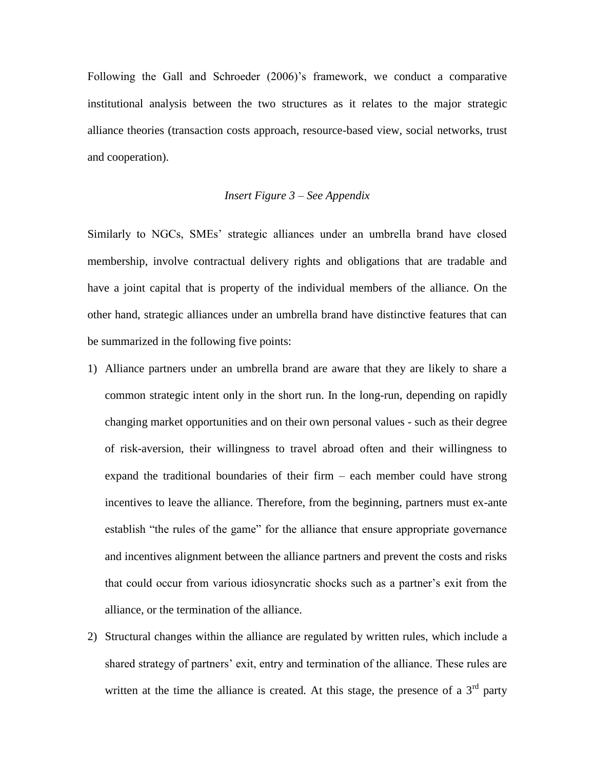Following the Gall and Schroeder (2006)"s framework, we conduct a comparative institutional analysis between the two structures as it relates to the major strategic alliance theories (transaction costs approach, resource-based view, social networks, trust and cooperation).

## *Insert Figure 3 – See Appendix*

Similarly to NGCs, SMEs" strategic alliances under an umbrella brand have closed membership, involve contractual delivery rights and obligations that are tradable and have a joint capital that is property of the individual members of the alliance. On the other hand, strategic alliances under an umbrella brand have distinctive features that can be summarized in the following five points:

- 1) Alliance partners under an umbrella brand are aware that they are likely to share a common strategic intent only in the short run. In the long-run, depending on rapidly changing market opportunities and on their own personal values - such as their degree of risk-aversion, their willingness to travel abroad often and their willingness to expand the traditional boundaries of their firm – each member could have strong incentives to leave the alliance. Therefore, from the beginning, partners must ex-ante establish "the rules of the game" for the alliance that ensure appropriate governance and incentives alignment between the alliance partners and prevent the costs and risks that could occur from various idiosyncratic shocks such as a partner"s exit from the alliance, or the termination of the alliance.
- 2) Structural changes within the alliance are regulated by written rules, which include a shared strategy of partners" exit, entry and termination of the alliance. These rules are written at the time the alliance is created. At this stage, the presence of a  $3<sup>rd</sup>$  party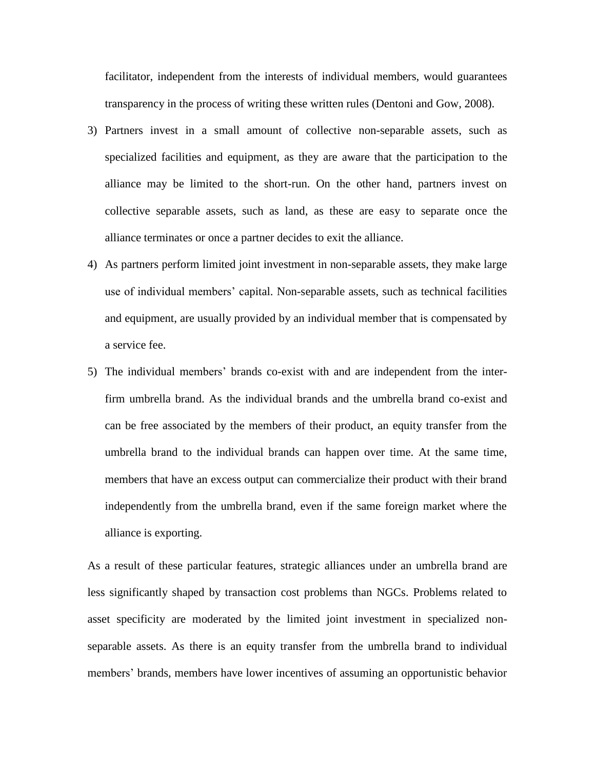facilitator, independent from the interests of individual members, would guarantees transparency in the process of writing these written rules (Dentoni and Gow, 2008).

- 3) Partners invest in a small amount of collective non-separable assets, such as specialized facilities and equipment, as they are aware that the participation to the alliance may be limited to the short-run. On the other hand, partners invest on collective separable assets, such as land, as these are easy to separate once the alliance terminates or once a partner decides to exit the alliance.
- 4) As partners perform limited joint investment in non-separable assets, they make large use of individual members' capital. Non-separable assets, such as technical facilities and equipment, are usually provided by an individual member that is compensated by a service fee.
- 5) The individual members" brands co-exist with and are independent from the interfirm umbrella brand. As the individual brands and the umbrella brand co-exist and can be free associated by the members of their product, an equity transfer from the umbrella brand to the individual brands can happen over time. At the same time, members that have an excess output can commercialize their product with their brand independently from the umbrella brand, even if the same foreign market where the alliance is exporting.

As a result of these particular features, strategic alliances under an umbrella brand are less significantly shaped by transaction cost problems than NGCs. Problems related to asset specificity are moderated by the limited joint investment in specialized nonseparable assets. As there is an equity transfer from the umbrella brand to individual members' brands, members have lower incentives of assuming an opportunistic behavior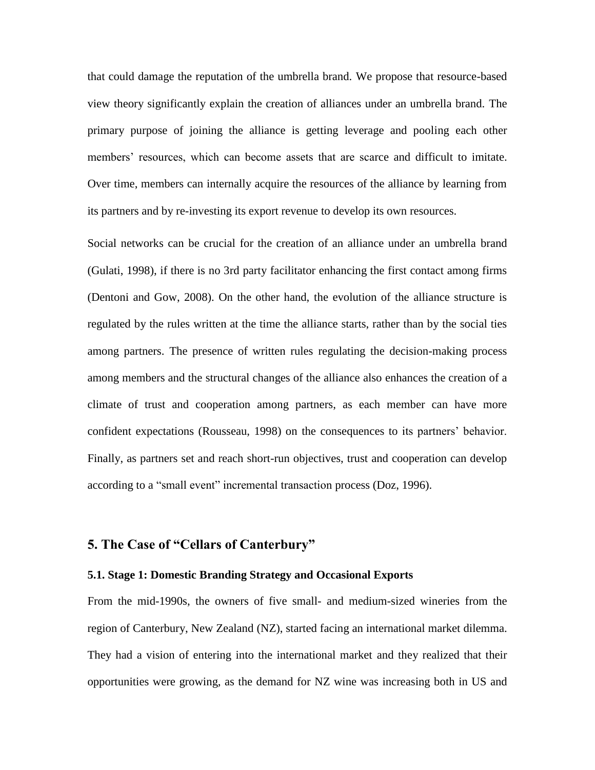that could damage the reputation of the umbrella brand. We propose that resource-based view theory significantly explain the creation of alliances under an umbrella brand. The primary purpose of joining the alliance is getting leverage and pooling each other members' resources, which can become assets that are scarce and difficult to imitate. Over time, members can internally acquire the resources of the alliance by learning from its partners and by re-investing its export revenue to develop its own resources.

Social networks can be crucial for the creation of an alliance under an umbrella brand (Gulati, 1998), if there is no 3rd party facilitator enhancing the first contact among firms (Dentoni and Gow, 2008). On the other hand, the evolution of the alliance structure is regulated by the rules written at the time the alliance starts, rather than by the social ties among partners. The presence of written rules regulating the decision-making process among members and the structural changes of the alliance also enhances the creation of a climate of trust and cooperation among partners, as each member can have more confident expectations (Rousseau, 1998) on the consequences to its partners' behavior. Finally, as partners set and reach short-run objectives, trust and cooperation can develop according to a "small event" incremental transaction process (Doz, 1996).

# **5. The Case of "Cellars of Canterbury"**

#### **5.1. Stage 1: Domestic Branding Strategy and Occasional Exports**

From the mid-1990s, the owners of five small- and medium-sized wineries from the region of Canterbury, New Zealand (NZ), started facing an international market dilemma. They had a vision of entering into the international market and they realized that their opportunities were growing, as the demand for NZ wine was increasing both in US and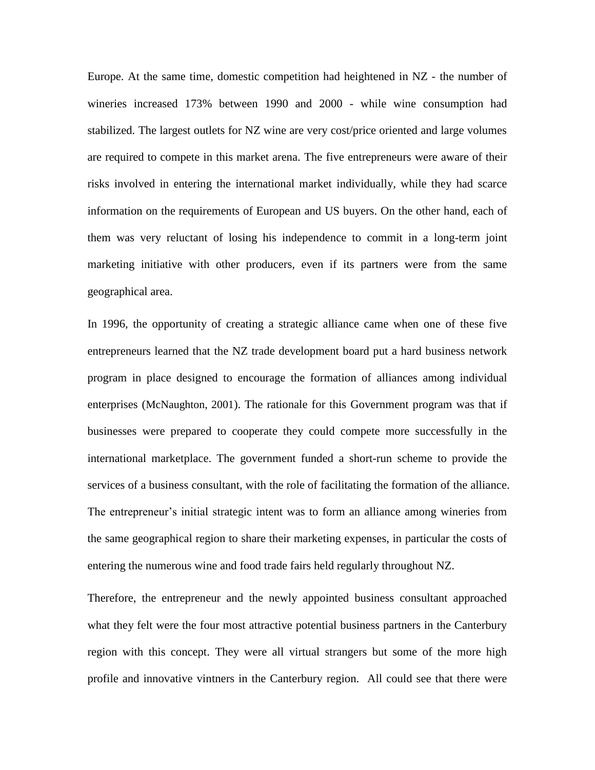Europe. At the same time, domestic competition had heightened in NZ - the number of wineries increased 173% between 1990 and 2000 - while wine consumption had stabilized. The largest outlets for NZ wine are very cost/price oriented and large volumes are required to compete in this market arena. The five entrepreneurs were aware of their risks involved in entering the international market individually, while they had scarce information on the requirements of European and US buyers. On the other hand, each of them was very reluctant of losing his independence to commit in a long-term joint marketing initiative with other producers, even if its partners were from the same geographical area.

In 1996, the opportunity of creating a strategic alliance came when one of these five entrepreneurs learned that the NZ trade development board put a hard business network program in place designed to encourage the formation of alliances among individual enterprises (McNaughton, 2001). The rationale for this Government program was that if businesses were prepared to cooperate they could compete more successfully in the international marketplace. The government funded a short-run scheme to provide the services of a business consultant, with the role of facilitating the formation of the alliance. The entrepreneur"s initial strategic intent was to form an alliance among wineries from the same geographical region to share their marketing expenses, in particular the costs of entering the numerous wine and food trade fairs held regularly throughout NZ.

Therefore, the entrepreneur and the newly appointed business consultant approached what they felt were the four most attractive potential business partners in the Canterbury region with this concept. They were all virtual strangers but some of the more high profile and innovative vintners in the Canterbury region. All could see that there were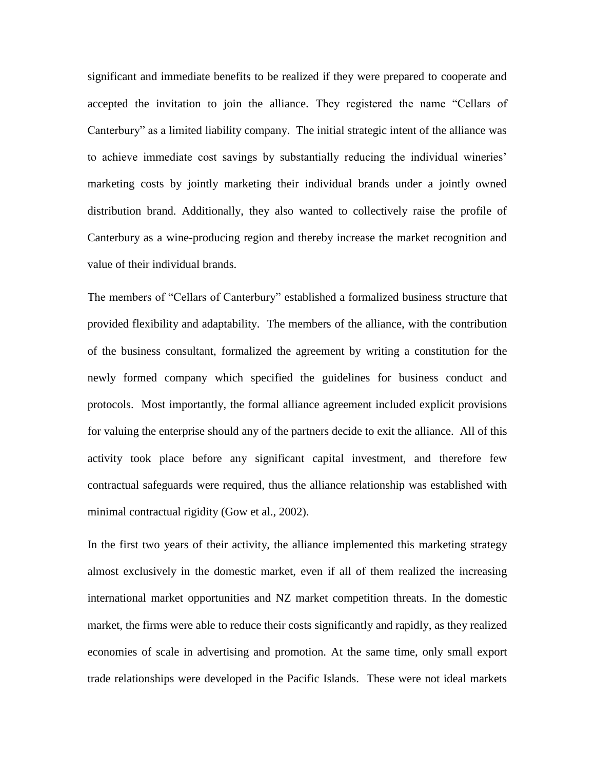significant and immediate benefits to be realized if they were prepared to cooperate and accepted the invitation to join the alliance. They registered the name "Cellars of Canterbury" as a limited liability company. The initial strategic intent of the alliance was to achieve immediate cost savings by substantially reducing the individual wineries" marketing costs by jointly marketing their individual brands under a jointly owned distribution brand. Additionally, they also wanted to collectively raise the profile of Canterbury as a wine-producing region and thereby increase the market recognition and value of their individual brands.

The members of "Cellars of Canterbury" established a formalized business structure that provided flexibility and adaptability. The members of the alliance, with the contribution of the business consultant, formalized the agreement by writing a constitution for the newly formed company which specified the guidelines for business conduct and protocols. Most importantly, the formal alliance agreement included explicit provisions for valuing the enterprise should any of the partners decide to exit the alliance. All of this activity took place before any significant capital investment, and therefore few contractual safeguards were required, thus the alliance relationship was established with minimal contractual rigidity (Gow et al., 2002).

In the first two years of their activity, the alliance implemented this marketing strategy almost exclusively in the domestic market, even if all of them realized the increasing international market opportunities and NZ market competition threats. In the domestic market, the firms were able to reduce their costs significantly and rapidly, as they realized economies of scale in advertising and promotion. At the same time, only small export trade relationships were developed in the Pacific Islands. These were not ideal markets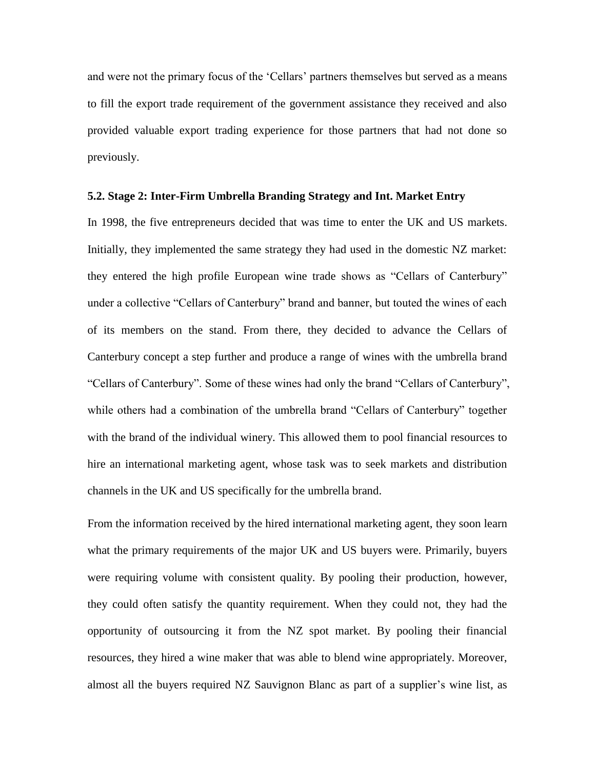and were not the primary focus of the 'Cellars' partners themselves but served as a means to fill the export trade requirement of the government assistance they received and also provided valuable export trading experience for those partners that had not done so previously.

#### **5.2. Stage 2: Inter-Firm Umbrella Branding Strategy and Int. Market Entry**

In 1998, the five entrepreneurs decided that was time to enter the UK and US markets. Initially, they implemented the same strategy they had used in the domestic NZ market: they entered the high profile European wine trade shows as "Cellars of Canterbury" under a collective "Cellars of Canterbury" brand and banner, but touted the wines of each of its members on the stand. From there, they decided to advance the Cellars of Canterbury concept a step further and produce a range of wines with the umbrella brand "Cellars of Canterbury". Some of these wines had only the brand "Cellars of Canterbury", while others had a combination of the umbrella brand "Cellars of Canterbury" together with the brand of the individual winery. This allowed them to pool financial resources to hire an international marketing agent, whose task was to seek markets and distribution channels in the UK and US specifically for the umbrella brand.

From the information received by the hired international marketing agent, they soon learn what the primary requirements of the major UK and US buyers were. Primarily, buyers were requiring volume with consistent quality. By pooling their production, however, they could often satisfy the quantity requirement. When they could not, they had the opportunity of outsourcing it from the NZ spot market. By pooling their financial resources, they hired a wine maker that was able to blend wine appropriately. Moreover, almost all the buyers required NZ Sauvignon Blanc as part of a supplier's wine list, as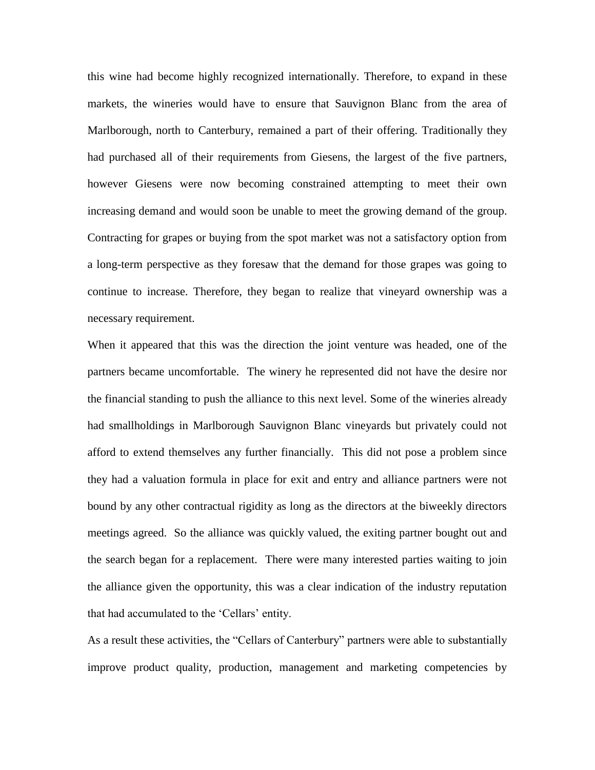this wine had become highly recognized internationally. Therefore, to expand in these markets, the wineries would have to ensure that Sauvignon Blanc from the area of Marlborough, north to Canterbury, remained a part of their offering. Traditionally they had purchased all of their requirements from Giesens, the largest of the five partners, however Giesens were now becoming constrained attempting to meet their own increasing demand and would soon be unable to meet the growing demand of the group. Contracting for grapes or buying from the spot market was not a satisfactory option from a long-term perspective as they foresaw that the demand for those grapes was going to continue to increase. Therefore, they began to realize that vineyard ownership was a necessary requirement.

When it appeared that this was the direction the joint venture was headed, one of the partners became uncomfortable. The winery he represented did not have the desire nor the financial standing to push the alliance to this next level. Some of the wineries already had smallholdings in Marlborough Sauvignon Blanc vineyards but privately could not afford to extend themselves any further financially. This did not pose a problem since they had a valuation formula in place for exit and entry and alliance partners were not bound by any other contractual rigidity as long as the directors at the biweekly directors meetings agreed. So the alliance was quickly valued, the exiting partner bought out and the search began for a replacement. There were many interested parties waiting to join the alliance given the opportunity, this was a clear indication of the industry reputation that had accumulated to the "Cellars" entity.

As a result these activities, the "Cellars of Canterbury" partners were able to substantially improve product quality, production, management and marketing competencies by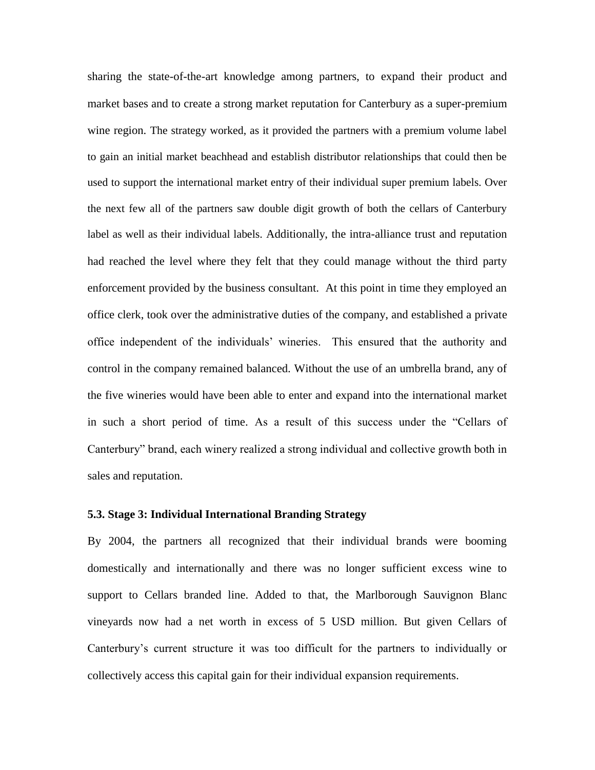sharing the state-of-the-art knowledge among partners, to expand their product and market bases and to create a strong market reputation for Canterbury as a super-premium wine region. The strategy worked, as it provided the partners with a premium volume label to gain an initial market beachhead and establish distributor relationships that could then be used to support the international market entry of their individual super premium labels. Over the next few all of the partners saw double digit growth of both the cellars of Canterbury label as well as their individual labels. Additionally, the intra-alliance trust and reputation had reached the level where they felt that they could manage without the third party enforcement provided by the business consultant. At this point in time they employed an office clerk, took over the administrative duties of the company, and established a private office independent of the individuals" wineries. This ensured that the authority and control in the company remained balanced. Without the use of an umbrella brand, any of the five wineries would have been able to enter and expand into the international market in such a short period of time. As a result of this success under the "Cellars of Canterbury" brand, each winery realized a strong individual and collective growth both in sales and reputation.

#### **5.3. Stage 3: Individual International Branding Strategy**

By 2004, the partners all recognized that their individual brands were booming domestically and internationally and there was no longer sufficient excess wine to support to Cellars branded line. Added to that, the Marlborough Sauvignon Blanc vineyards now had a net worth in excess of 5 USD million. But given Cellars of Canterbury"s current structure it was too difficult for the partners to individually or collectively access this capital gain for their individual expansion requirements.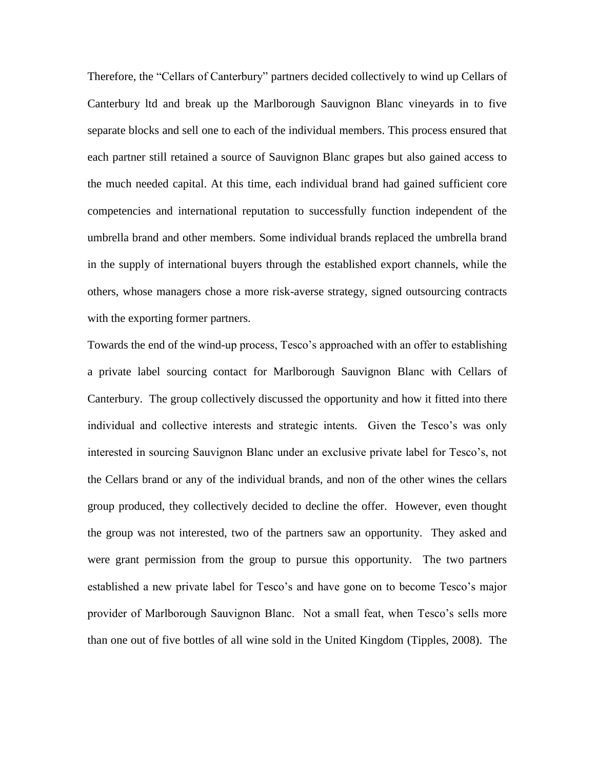Therefore, the "Cellars of Canterbury" partners decided collectively to wind up Cellars of Canterbury ltd and break up the Marlborough Sauvignon Blanc vineyards in to five separate blocks and sell one to each of the individual members. This process ensured that each partner still retained a source of Sauvignon Blanc grapes but also gained access to the much needed capital. At this time, each individual brand had gained sufficient core competencies and international reputation to successfully function independent of the umbrella brand and other members. Some individual brands replaced the umbrella brand in the supply of international buyers through the established export channels, while the others, whose managers chose a more risk-averse strategy, signed outsourcing contracts with the exporting former partners.

Towards the end of the wind-up process, Tesco"s approached with an offer to establishing a private label sourcing contact for Marlborough Sauvignon Blanc with Cellars of Canterbury. The group collectively discussed the opportunity and how it fitted into there individual and collective interests and strategic intents. Given the Tesco"s was only interested in sourcing Sauvignon Blanc under an exclusive private label for Tesco"s, not the Cellars brand or any of the individual brands, and non of the other wines the cellars group produced, they collectively decided to decline the offer. However, even thought the group was not interested, two of the partners saw an opportunity. They asked and were grant permission from the group to pursue this opportunity. The two partners established a new private label for Tesco"s and have gone on to become Tesco"s major provider of Marlborough Sauvignon Blanc. Not a small feat, when Tesco"s sells more than one out of five bottles of all wine sold in the United Kingdom (Tipples, 2008). The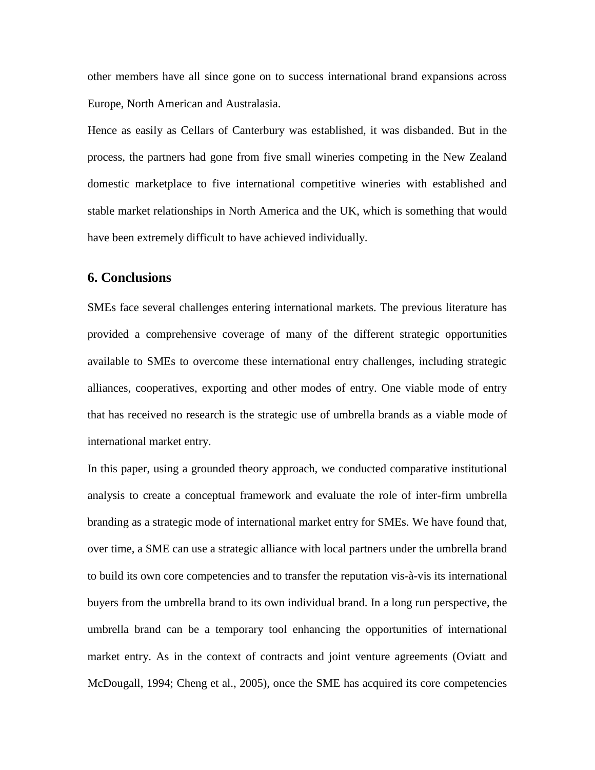other members have all since gone on to success international brand expansions across Europe, North American and Australasia.

Hence as easily as Cellars of Canterbury was established, it was disbanded. But in the process, the partners had gone from five small wineries competing in the New Zealand domestic marketplace to five international competitive wineries with established and stable market relationships in North America and the UK, which is something that would have been extremely difficult to have achieved individually.

## **6. Conclusions**

SMEs face several challenges entering international markets. The previous literature has provided a comprehensive coverage of many of the different strategic opportunities available to SMEs to overcome these international entry challenges, including strategic alliances, cooperatives, exporting and other modes of entry. One viable mode of entry that has received no research is the strategic use of umbrella brands as a viable mode of international market entry.

In this paper, using a grounded theory approach, we conducted comparative institutional analysis to create a conceptual framework and evaluate the role of inter-firm umbrella branding as a strategic mode of international market entry for SMEs. We have found that, over time, a SME can use a strategic alliance with local partners under the umbrella brand to build its own core competencies and to transfer the reputation vis-à-vis its international buyers from the umbrella brand to its own individual brand. In a long run perspective, the umbrella brand can be a temporary tool enhancing the opportunities of international market entry. As in the context of contracts and joint venture agreements (Oviatt and McDougall, 1994; Cheng et al., 2005), once the SME has acquired its core competencies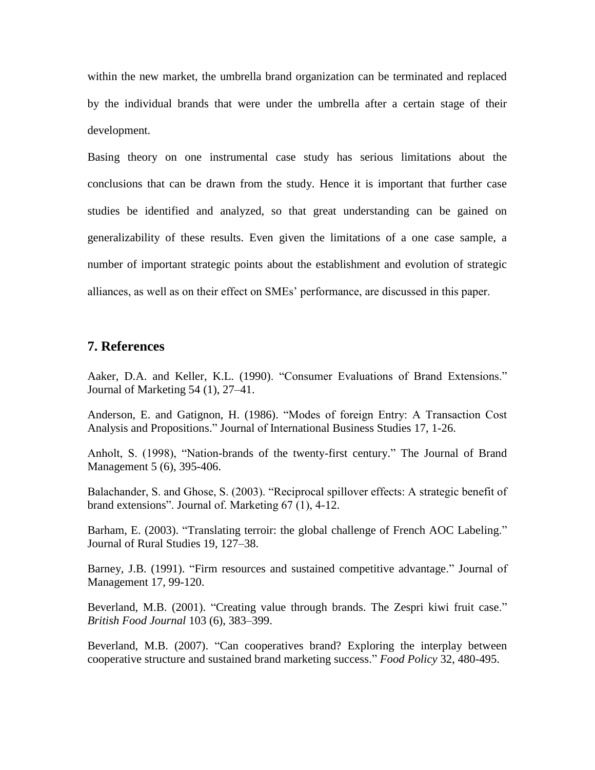within the new market, the umbrella brand organization can be terminated and replaced by the individual brands that were under the umbrella after a certain stage of their development.

Basing theory on one instrumental case study has serious limitations about the conclusions that can be drawn from the study. Hence it is important that further case studies be identified and analyzed, so that great understanding can be gained on generalizability of these results. Even given the limitations of a one case sample, a number of important strategic points about the establishment and evolution of strategic alliances, as well as on their effect on SMEs" performance, are discussed in this paper.

## **7. References**

Aaker, D.A. and Keller, K.L. (1990). "Consumer Evaluations of Brand Extensions." Journal of Marketing 54 (1), 27–41.

Anderson, E. and Gatignon, H. (1986). "Modes of foreign Entry: A Transaction Cost Analysis and Propositions." Journal of International Business Studies 17, 1-26.

Anholt, S. (1998), "Nation-brands of the twenty-first century." The Journal of Brand Management 5 (6), 395-406.

Balachander, S. and Ghose, S. (2003). "Reciprocal spillover effects: A strategic benefit of brand extensions". Journal of. Marketing 67 (1), 4-12.

Barham, E. (2003). "Translating terroir: the global challenge of French AOC Labeling." Journal of Rural Studies 19, 127–38.

Barney, J.B. (1991). ["Firm resources and sustained competitive advantage.](http://www.econ.au.dk/fag/4205/e03/1031_001.pdf)" Journal of Management 17, 99-120.

Beverland, M.B. (2001). "Creating value through brands. The Zespri kiwi fruit case." *British Food Journal* 103 (6), 383–399.

Beverland, M.B. (2007). "Can cooperatives brand? Exploring the interplay between cooperative structure and sustained brand marketing success." *Food Policy* 32, 480-495.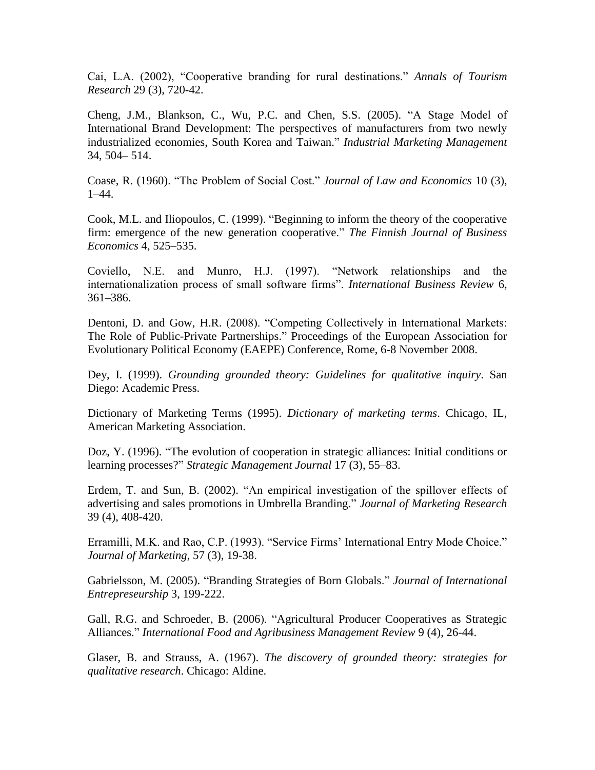Cai, L.A. (2002), "Cooperative branding for rural destinations." *Annals of Tourism Research* 29 (3), 720-42.

Cheng, J.M., Blankson, C., Wu, P.C. and Chen, S.S. (2005). "A Stage Model of International Brand Development: The perspectives of manufacturers from two newly industrialized economies, South Korea and Taiwan." *Industrial Marketing Management* 34, 504– 514.

Coase, R. (1960). "The Problem of Social Cost." *Journal of Law and Economics* 10 (3), 1–44.

Cook, M.L. and Iliopoulos, C. (1999). "Beginning to inform the theory of the cooperative firm: emergence of the new generation cooperative." *The Finnish Journal of Business Economics* 4, 525–535.

Coviello, N.E. and Munro, H.J. (1997). "Network relationships and the internationalization process of small software firms". *International Business Review* 6, 361–386.

Dentoni, D. and Gow, H.R. (2008). "Competing Collectively in International Markets: The Role of Public-Private Partnerships." Proceedings of the European Association for Evolutionary Political Economy (EAEPE) Conference, Rome, 6-8 November 2008.

Dey, I. (1999). *Grounding grounded theory: Guidelines for qualitative inquiry*. San Diego: Academic Press.

Dictionary of Marketing Terms (1995). *Dictionary of marketing terms*. Chicago, IL, American Marketing Association.

Doz, Y. (1996). "The evolution of cooperation in strategic alliances: Initial conditions or learning processes?" *Strategic Management Journal* 17 (3), 55–83.

Erdem, T. and Sun, B. (2002). "An empirical investigation of the spillover effects of advertising and sales promotions in Umbrella Branding." *Journal of Marketing Research* 39 (4), 408-420.

Erramilli, M.K. and Rao, C.P. (1993). "Service Firms" International Entry Mode Choice." *Journal of Marketing*, 57 (3), 19-38.

Gabrielsson, M. (2005). "Branding Strategies of Born Globals." *Journal of International Entrepreseurship* 3, 199-222.

Gall, R.G. and Schroeder, B. (2006). ["Agricultural Producer Cooperatives as Strategic](http://kea.uovs.ac.za/faculties/documents/04/099/IAMA%20Brazil/v9i4.pdf#page=32)  [Alliances.](http://kea.uovs.ac.za/faculties/documents/04/099/IAMA%20Brazil/v9i4.pdf#page=32)" *International Food and Agribusiness Management Review* 9 (4), 26-44.

Glaser, B. and Strauss, A. (1967). *The discovery of grounded theory: strategies for qualitative research*. Chicago: Aldine.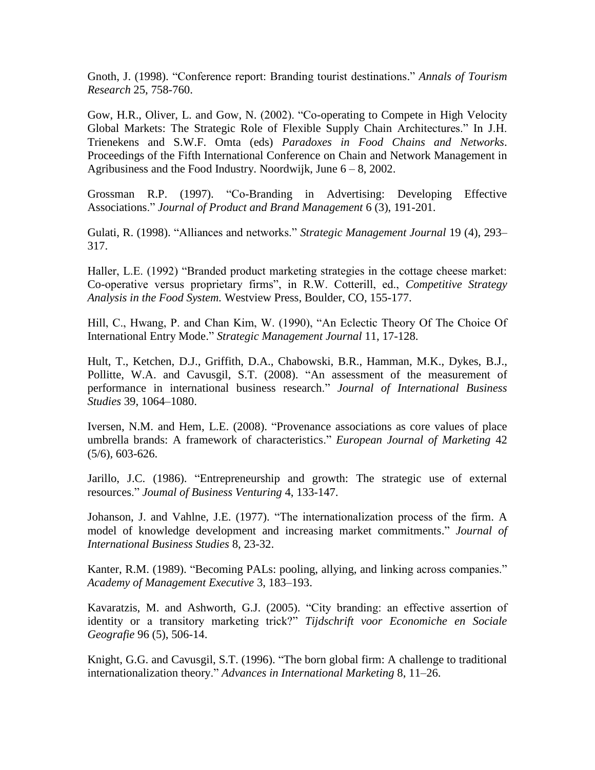Gnoth, J. (1998). "Conference report: Branding tourist destinations." *Annals of Tourism Research* 25, 758-760.

Gow, H.R., Oliver, L. and Gow, N. (2002). "Co-operating to Compete in High Velocity Global Markets: The Strategic Role of Flexible Supply Chain Architectures." In J.H. Trienekens and S.W.F. Omta (eds) *Paradoxes in Food Chains and Networks*. Proceedings of the Fifth International Conference on Chain and Network Management in Agribusiness and the Food Industry. Noordwijk, June  $6 - 8$ , 2002.

Grossman R.P. (1997). "Co-Branding in Advertising: Developing Effective Associations." *Journal of Product and Brand Management* 6 (3), 191-201.

Gulati, R. (1998). "Alliances and networks." *Strategic Management Journal* 19 (4), 293– 317.

Haller, L.E. (1992) "Branded product marketing strategies in the cottage cheese market: Co-operative versus proprietary firms", in R.W. Cotterill, ed., *Competitive Strategy Analysis in the Food System.* Westview Press, Boulder, CO, 155-177.

Hill, C., Hwang, P. and Chan Kim, W. (1990), "An Eclectic Theory Of The Choice Of International Entry Mode." *Strategic Management Journal* 11, 17-128.

Hult, T., Ketchen, D.J., Griffith, D.A., Chabowski, B.R., Hamman, M.K., Dykes, B.J., Pollitte, W.A. and Cavusgil, S.T. (2008). "An assessment of the measurement of performance in international business research." *Journal of International Business Studies* 39, 1064–1080.

Iversen, N.M. and Hem, L.E. (2008). "Provenance associations as core values of place umbrella brands: A framework of characteristics." *European Journal of Marketing* 42 (5/6), 603-626.

Jarillo, J.C. (1986). "Entrepreneurship and growth: The strategic use of external resources." *Joumal of Business Venturing* 4, 133-147.

Johanson, J. and Vahlne, J.E. (1977). "The internationalization process of the firm. A model of knowledge development and increasing market commitments." *Journal of International Business Studies* 8, 23-32.

Kanter, R.M. (1989). "Becoming PALs: pooling, allying, and linking across companies." *Academy of Management Executive* 3, 183–193.

Kavaratzis, M. and Ashworth, G.J. (2005). "City branding: an effective assertion of identity or a transitory marketing trick?" *Tijdschrift voor Economiche en Sociale Geografie* 96 (5), 506-14.

Knight, G.G. and Cavusgil, S.T. (1996). "The born global firm: A challenge to traditional internationalization theory." *Advances in International Marketing* 8, 11–26.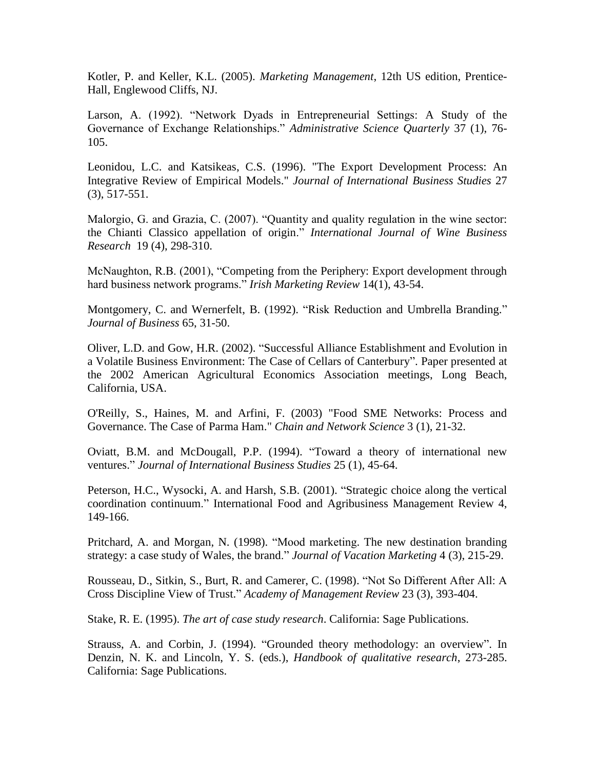Kotler, P. and Keller, K.L. (2005). *Marketing Management*, 12th US edition, Prentice-Hall, Englewood Cliffs, NJ.

[Larson, A.](http://proquest.umi.com.proxy2.cl.msu.edu/pqdlink?did=147487&CSP=8458&Fmt=7&VInst=PROD&VType=PQD&RQT=590&VName=PQD&TS=1234310479&clientId=3552) (1992). "Network Dyads in Entrepreneurial Settings: A Study of the Governance of Exchange Relationships." *[Administrative Science Quarterly](http://proquest.umi.com.proxy2.cl.msu.edu/pqdlink?RQT=318&pmid=24671&TS=1234310479&clientId=3552&VInst=PROD&VName=PQD&VType=PQD)* 37 (1), 76- 105.

Leonidou, L.C. and Katsikeas, C.S. (1996). "The Export Development Process: An Integrative Review of Empirical Models." *Journal of International Business Studies* 27 (3), 517-551.

Malorgio, G. and Grazia, C. (2007). "Quantity and quality regulation in the wine sector: the Chianti Classico appellation of origin." *[International Journal of Wine Business](http://www.emeraldinsight.com/1751-1062.htm)  [Research](http://www.emeraldinsight.com/1751-1062.htm)* 19 (4), 298-310.

McNaughton, R.B. (2001), "Competing from the Periphery: Export development through hard business network programs." *Irish Marketing Review* 14(1), 43-54.

Montgomery, C. and Wernerfelt, B. (1992). "Risk Reduction and Umbrella Branding." *Journal of Business* 65, 31-50.

Oliver, L.D. and Gow, H.R. (2002). "Successful Alliance Establishment and Evolution in a Volatile Business Environment: The Case of Cellars of Canterbury". Paper presented at the 2002 American Agricultural Economics Association meetings, Long Beach, California, USA.

O'Reilly, S., Haines, M. and Arfini, F. (2003) "Food SME Networks: Process and Governance. The Case of Parma Ham." *Chain and Network Science* 3 (1), 21-32.

Oviatt, B.M. and McDougall, P.P. (1994). "Toward a theory of international new ventures." *Journal of International Business Studies* 25 (1), 45-64.

Peterson, H.C., Wysocki, A. and Harsh, S.B. (2001). "Strategic choice along the vertical coordination continuum." International Food and Agribusiness Management Review 4, 149-166.

Pritchard, A. and Morgan, N. (1998). "Mood marketing. The new destination branding strategy: a case study of Wales, the brand." *Journal of Vacation Marketing* 4 (3), 215-29.

Rousseau, D., Sitkin, S., Burt, R. and Camerer, C. (1998). "Not So Different After All: A Cross Discipline View of Trust." *Academy of Management Review* 23 (3), 393-404.

Stake, R. E. (1995). *The art of case study research*. California: Sage Publications.

Strauss, A. and Corbin, J. (1994). "Grounded theory methodology: an overview". In Denzin, N. K. and Lincoln, Y. S. (eds.), *Handbook of qualitative research*, 273-285. California: Sage Publications.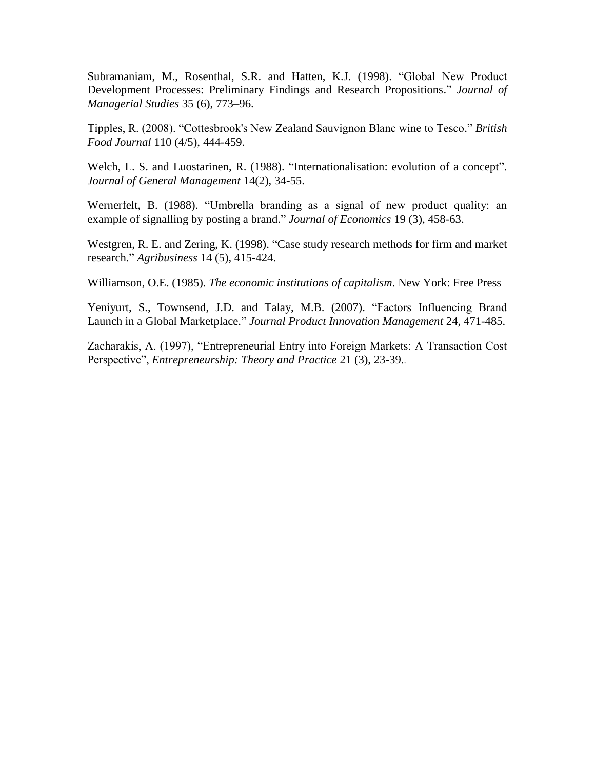Subramaniam, M., Rosenthal, S.R. and Hatten, K.J. (1998). "Global New Product Development Processes: Preliminary Findings and Research Propositions." *Journal of Managerial Studies* 35 (6), 773–96.

Tipples, R. (2008). "Cottesbrook's New Zealand Sauvignon Blanc wine to Tesco." *British Food Journal* 110 (4/5), 444-459.

Welch, L. S. and Luostarinen, R. (1988). "Internationalisation: evolution of a concept". *Journal of General Management* 14(2), 34-55.

Wernerfelt, B. (1988). "Umbrella branding as a signal of new product quality: an example of signalling by posting a brand." *Journal of Economics* 19 (3), 458-63.

Westgren, R. E. and Zering, K. (1998). "Case study research methods for firm and market research." *Agribusiness* 14 (5), 415-424.

Williamson, O.E. (1985). *The economic institutions of capitalism*. New York: Free Press

Yeniyurt, S., Townsend, J.D. and Talay, M.B. (2007). "Factors Influencing Brand Launch in a Global Marketplace." *Journal Product Innovation Management* 24, 471-485.

Zacharakis, A. (1997), "Entrepreneurial Entry into Foreign Markets: A Transaction Cost Perspective", *Entrepreneurship: Theory and Practice* 21 (3), 23-39..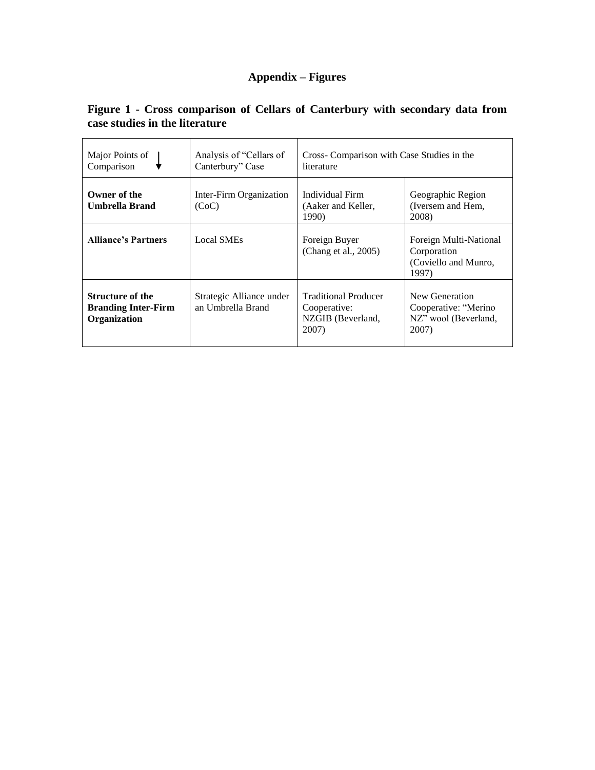# **Appendix – Figures**

| Major Points of<br>Comparison                                         | Analysis of "Cellars of<br>Canterbury" Case   | Cross- Comparison with Case Studies in the<br>literature                  |                                                                         |  |
|-----------------------------------------------------------------------|-----------------------------------------------|---------------------------------------------------------------------------|-------------------------------------------------------------------------|--|
| Owner of the<br><b>Umbrella Brand</b>                                 | Inter-Firm Organization<br>(CoC)              | Individual Firm<br>(Aaker and Keller,<br>1990)                            | Geographic Region<br>(Iversem and Hem.)<br>2008)                        |  |
| <b>Alliance's Partners</b>                                            | <b>Local SMEs</b>                             | Foreign Buyer<br>(Chang et al., 2005)                                     | Foreign Multi-National<br>Corporation<br>(Coviello and Munro,<br>1997)  |  |
| <b>Structure of the</b><br><b>Branding Inter-Firm</b><br>Organization | Strategic Alliance under<br>an Umbrella Brand | <b>Traditional Producer</b><br>Cooperative:<br>NZGIB (Beverland,<br>2007) | New Generation<br>Cooperative: "Merino<br>NZ" wool (Beverland,<br>2007) |  |

# **Figure 1 - Cross comparison of Cellars of Canterbury with secondary data from case studies in the literature**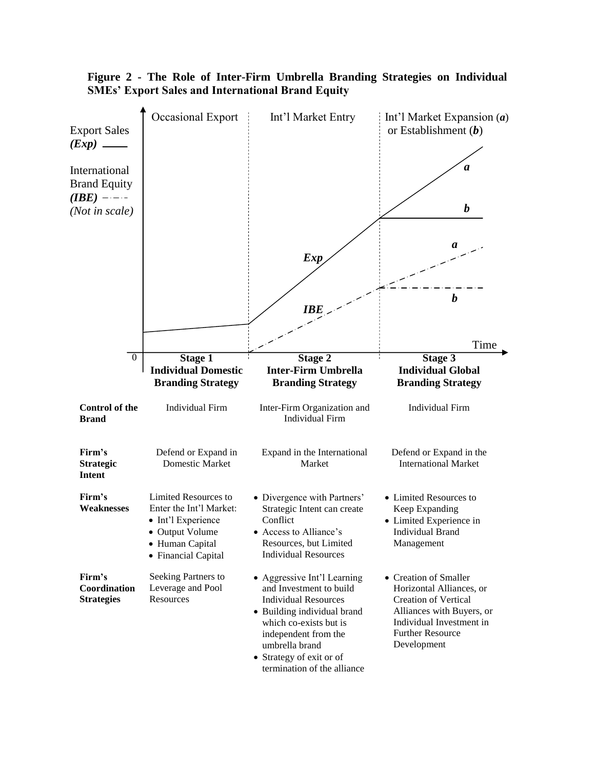

## **Figure 2 - The Role of Inter-Firm Umbrella Branding Strategies on Individual SMEs' Export Sales and International Brand Equity**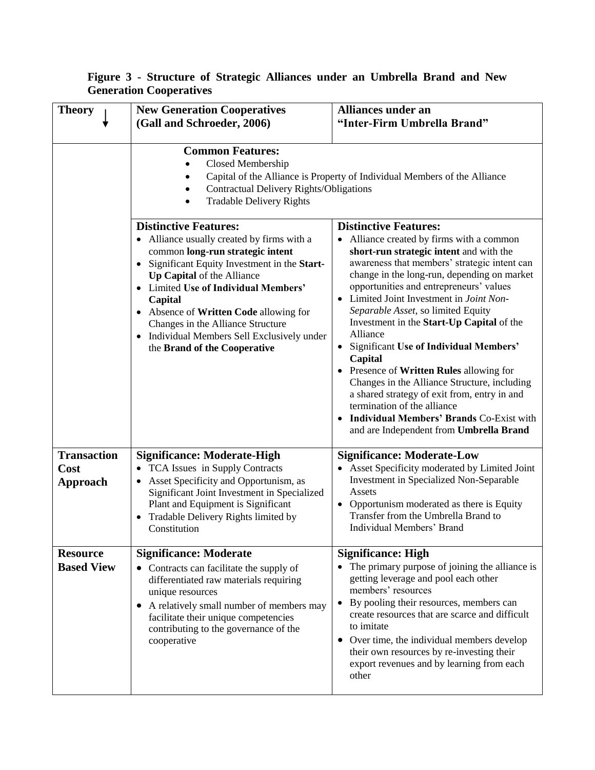| Figure 3 - Structure of Strategic Alliances under an Umbrella Brand and New |  |  |  |  |  |
|-----------------------------------------------------------------------------|--|--|--|--|--|
| <b>Generation Cooperatives</b>                                              |  |  |  |  |  |

| <b>Theory</b>                                 | <b>New Generation Cooperatives</b><br>(Gall and Schroeder, 2006)                                                                                                                                                                                                                                                                                                                                                        | <b>Alliances under an</b><br>"Inter-Firm Umbrella Brand"                                                                                                                                                                                                                                                                                                                                                                                                                                                                                                                                                                                                                                                                                                             |  |
|-----------------------------------------------|-------------------------------------------------------------------------------------------------------------------------------------------------------------------------------------------------------------------------------------------------------------------------------------------------------------------------------------------------------------------------------------------------------------------------|----------------------------------------------------------------------------------------------------------------------------------------------------------------------------------------------------------------------------------------------------------------------------------------------------------------------------------------------------------------------------------------------------------------------------------------------------------------------------------------------------------------------------------------------------------------------------------------------------------------------------------------------------------------------------------------------------------------------------------------------------------------------|--|
|                                               | <b>Common Features:</b><br>Closed Membership<br>Capital of the Alliance is Property of Individual Members of the Alliance<br><b>Contractual Delivery Rights/Obligations</b><br><b>Tradable Delivery Rights</b>                                                                                                                                                                                                          |                                                                                                                                                                                                                                                                                                                                                                                                                                                                                                                                                                                                                                                                                                                                                                      |  |
|                                               | <b>Distinctive Features:</b><br>• Alliance usually created by firms with a<br>common long-run strategic intent<br>Significant Equity Investment in the Start-<br>$\bullet$<br>Up Capital of the Alliance<br>Limited Use of Individual Members'<br>Capital<br>• Absence of Written Code allowing for<br>Changes in the Alliance Structure<br>• Individual Members Sell Exclusively under<br>the Brand of the Cooperative | <b>Distinctive Features:</b><br>Alliance created by firms with a common<br>short-run strategic intent and with the<br>awareness that members' strategic intent can<br>change in the long-run, depending on market<br>opportunities and entrepreneurs' values<br>Limited Joint Investment in Joint Non-<br>Separable Asset, so limited Equity<br>Investment in the Start-Up Capital of the<br>Alliance<br><b>Significant Use of Individual Members'</b><br>$\bullet$<br>Capital<br>• Presence of Written Rules allowing for<br>Changes in the Alliance Structure, including<br>a shared strategy of exit from, entry in and<br>termination of the alliance<br><b>Individual Members' Brands Co-Exist with</b><br>$\bullet$<br>and are Independent from Umbrella Brand |  |
| <b>Transaction</b><br>Cost<br><b>Approach</b> | <b>Significance: Moderate-High</b><br>• TCA Issues in Supply Contracts<br>Asset Specificity and Opportunism, as<br>Significant Joint Investment in Specialized<br>Plant and Equipment is Significant<br>Tradable Delivery Rights limited by<br>Constitution                                                                                                                                                             | <b>Significance: Moderate-Low</b><br>Asset Specificity moderated by Limited Joint<br>Investment in Specialized Non-Separable<br>Assets<br>Opportunism moderated as there is Equity<br>$\bullet$<br>Transfer from the Umbrella Brand to<br>Individual Members' Brand                                                                                                                                                                                                                                                                                                                                                                                                                                                                                                  |  |
| <b>Resource</b><br><b>Based View</b>          | <b>Significance: Moderate</b><br>• Contracts can facilitate the supply of<br>differentiated raw materials requiring<br>unique resources<br>A relatively small number of members may<br>$\bullet$<br>facilitate their unique competencies<br>contributing to the governance of the<br>cooperative                                                                                                                        | <b>Significance: High</b><br>The primary purpose of joining the alliance is<br>getting leverage and pool each other<br>members' resources<br>By pooling their resources, members can<br>create resources that are scarce and difficult<br>to imitate<br>Over time, the individual members develop<br>٠<br>their own resources by re-investing their<br>export revenues and by learning from each<br>other                                                                                                                                                                                                                                                                                                                                                            |  |